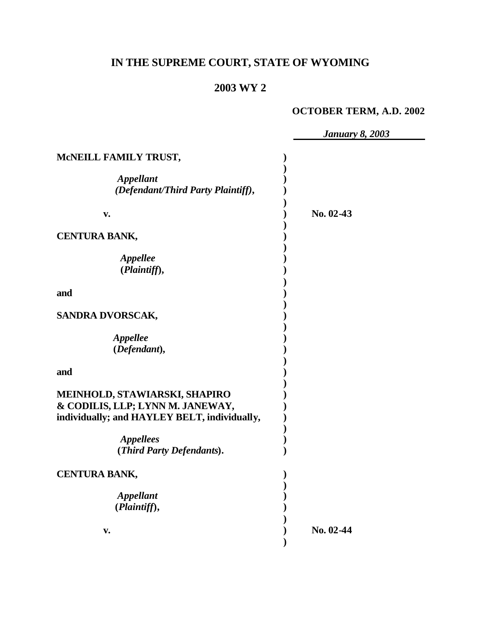# **IN THE SUPREME COURT, STATE OF WYOMING**

# **2003 WY 2**

# **OCTOBER TERM, A.D. 2002**

|                                                                                                                   | <b>January 8, 2003</b> |
|-------------------------------------------------------------------------------------------------------------------|------------------------|
| MCNEILL FAMILY TRUST,                                                                                             |                        |
| <b>Appellant</b><br>(Defendant/Third Party Plaintiff),                                                            |                        |
| V.                                                                                                                | No. 02-43              |
| <b>CENTURA BANK,</b>                                                                                              |                        |
| <b>Appellee</b><br>(Plaintiff),                                                                                   |                        |
| and                                                                                                               |                        |
| SANDRA DVORSCAK,                                                                                                  |                        |
| <b>Appellee</b><br>(Defendant),                                                                                   |                        |
| and                                                                                                               |                        |
| MEINHOLD, STAWIARSKI, SHAPIRO<br>& CODILIS, LLP; LYNN M. JANEWAY,<br>individually; and HAYLEY BELT, individually, |                        |
| <b>Appellees</b><br>(Third Party Defendants).                                                                     |                        |
| <b>CENTURA BANK,</b>                                                                                              |                        |
| <b>Appellant</b><br>(Plaintiff),                                                                                  |                        |
| V.                                                                                                                | No. 02-44              |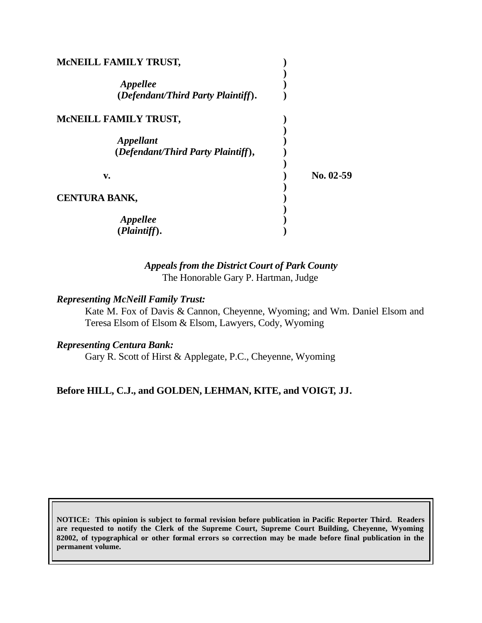| MCNEILL FAMILY TRUST,                           |             |
|-------------------------------------------------|-------------|
| Appellee<br>(Defendant/Third Party Plaintiff).  |             |
| MCNEILL FAMILY TRUST,                           |             |
| Appellant<br>(Defendant/Third Party Plaintiff), |             |
| v.                                              | $No. 02-59$ |
| <b>CENTURA BANK,</b>                            |             |
| <i><b>Appellee</b></i><br>(Plaintiff).          |             |

# *Appeals from the District Court of Park County* The Honorable Gary P. Hartman, Judge

#### *Representing McNeill Family Trust:*

Kate M. Fox of Davis & Cannon, Cheyenne, Wyoming; and Wm. Daniel Elsom and Teresa Elsom of Elsom & Elsom, Lawyers, Cody, Wyoming

#### *Representing Centura Bank:*

Gary R. Scott of Hirst & Applegate, P.C., Cheyenne, Wyoming

# **Before HILL, C.J., and GOLDEN, LEHMAN, KITE, and VOIGT, JJ.**

**NOTICE: This opinion is subject to formal revision before publication in Pacific Reporter Third. Readers are requested to notify the Clerk of the Supreme Court, Supreme Court Building, Cheyenne, Wyoming 82002, of typographical or other formal errors so correction may be made before final publication in the permanent volume.**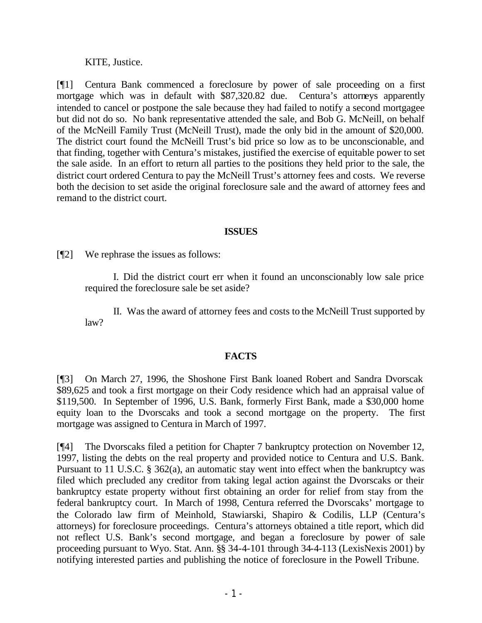#### KITE, Justice.

[¶1] Centura Bank commenced a foreclosure by power of sale proceeding on a first mortgage which was in default with \$87,320.82 due. Centura's attorneys apparently intended to cancel or postpone the sale because they had failed to notify a second mortgagee but did not do so. No bank representative attended the sale, and Bob G. McNeill, on behalf of the McNeill Family Trust (McNeill Trust), made the only bid in the amount of \$20,000. The district court found the McNeill Trust's bid price so low as to be unconscionable, and that finding, together with Centura's mistakes, justified the exercise of equitable power to set the sale aside. In an effort to return all parties to the positions they held prior to the sale, the district court ordered Centura to pay the McNeill Trust's attorney fees and costs. We reverse both the decision to set aside the original foreclosure sale and the award of attorney fees and remand to the district court.

### **ISSUES**

[¶2] We rephrase the issues as follows:

I. Did the district court err when it found an unconscionably low sale price required the foreclosure sale be set aside?

II. Was the award of attorney fees and costs to the McNeill Trust supported by  $law<sup>2</sup>$ 

# **FACTS**

[¶3] On March 27, 1996, the Shoshone First Bank loaned Robert and Sandra Dvorscak \$89,625 and took a first mortgage on their Cody residence which had an appraisal value of \$119,500. In September of 1996, U.S. Bank, formerly First Bank, made a \$30,000 home equity loan to the Dvorscaks and took a second mortgage on the property. The first mortgage was assigned to Centura in March of 1997.

[¶4] The Dvorscaks filed a petition for Chapter 7 bankruptcy protection on November 12, 1997, listing the debts on the real property and provided notice to Centura and U.S. Bank. Pursuant to 11 U.S.C. § 362(a), an automatic stay went into effect when the bankruptcy was filed which precluded any creditor from taking legal action against the Dvorscaks or their bankruptcy estate property without first obtaining an order for relief from stay from the federal bankruptcy court. In March of 1998, Centura referred the Dvorscaks' mortgage to the Colorado law firm of Meinhold, Stawiarski, Shapiro & Codilis, LLP (Centura's attorneys) for foreclosure proceedings. Centura's attorneys obtained a title report, which did not reflect U.S. Bank's second mortgage, and began a foreclosure by power of sale proceeding pursuant to Wyo. Stat. Ann. §§ 34-4-101 through 34-4-113 (LexisNexis 2001) by notifying interested parties and publishing the notice of foreclosure in the Powell Tribune.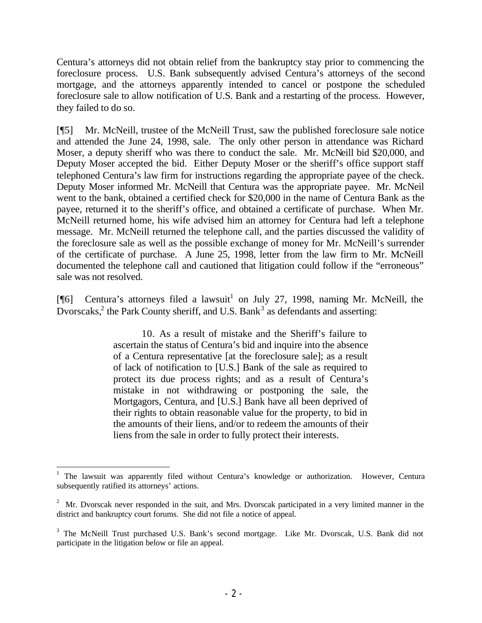Centura's attorneys did not obtain relief from the bankruptcy stay prior to commencing the foreclosure process. U.S. Bank subsequently advised Centura's attorneys of the second mortgage, and the attorneys apparently intended to cancel or postpone the scheduled foreclosure sale to allow notification of U.S. Bank and a restarting of the process. However, they failed to do so.

[¶5] Mr. McNeill, trustee of the McNeill Trust, saw the published foreclosure sale notice and attended the June 24, 1998, sale. The only other person in attendance was Richard Moser, a deputy sheriff who was there to conduct the sale. Mr. McNeill bid \$20,000, and Deputy Moser accepted the bid. Either Deputy Moser or the sheriff's office support staff telephoned Centura's law firm for instructions regarding the appropriate payee of the check. Deputy Moser informed Mr. McNeill that Centura was the appropriate payee. Mr. McNeil went to the bank, obtained a certified check for \$20,000 in the name of Centura Bank as the payee, returned it to the sheriff's office, and obtained a certificate of purchase. When Mr. McNeill returned home, his wife advised him an attorney for Centura had left a telephone message. Mr. McNeill returned the telephone call, and the parties discussed the validity of the foreclosure sale as well as the possible exchange of money for Mr. McNeill's surrender of the certificate of purchase. A June 25, 1998, letter from the law firm to Mr. McNeill documented the telephone call and cautioned that litigation could follow if the "erroneous" sale was not resolved.

[ $[$ [6] Centura's attorneys filed a lawsuit<sup>1</sup> on July 27, 1998, naming Mr. McNeill, the Dvorscaks,<sup>2</sup> the Park County sheriff, and U.S. Bank<sup>3</sup> as defendants and asserting:

> 10. As a result of mistake and the Sheriff's failure to ascertain the status of Centura's bid and inquire into the absence of a Centura representative [at the foreclosure sale]; as a result of lack of notification to [U.S.] Bank of the sale as required to protect its due process rights; and as a result of Centura's mistake in not withdrawing or postponing the sale, the Mortgagors, Centura, and [U.S.] Bank have all been deprived of their rights to obtain reasonable value for the property, to bid in the amounts of their liens, and/or to redeem the amounts of their liens from the sale in order to fully protect their interests.

<sup>1</sup> The lawsuit was apparently filed without Centura's knowledge or authorization. However, Centura subsequently ratified its attorneys' actions.

<sup>&</sup>lt;sup>2</sup> Mr. Dvorscak never responded in the suit, and Mrs. Dvorscak participated in a very limited manner in the district and bankruptcy court forums. She did not file a notice of appeal.

<sup>&</sup>lt;sup>3</sup> The McNeill Trust purchased U.S. Bank's second mortgage. Like Mr. Dvorscak, U.S. Bank did not participate in the litigation below or file an appeal.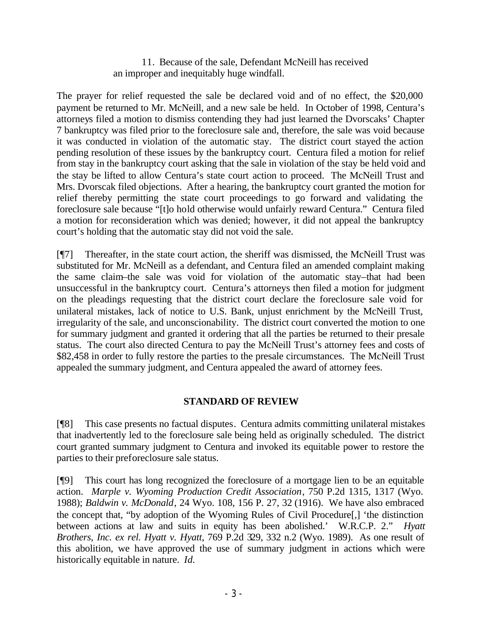11. Because of the sale, Defendant McNeill has received an improper and inequitably huge windfall.

The prayer for relief requested the sale be declared void and of no effect, the \$20,000 payment be returned to Mr. McNeill, and a new sale be held. In October of 1998, Centura's attorneys filed a motion to dismiss contending they had just learned the Dvorscaks' Chapter 7 bankruptcy was filed prior to the foreclosure sale and, therefore, the sale was void because it was conducted in violation of the automatic stay. The district court stayed the action pending resolution of these issues by the bankruptcy court. Centura filed a motion for relief from stay in the bankruptcy court asking that the sale in violation of the stay be held void and the stay be lifted to allow Centura's state court action to proceed. The McNeill Trust and Mrs. Dvorscak filed objections. After a hearing, the bankruptcy court granted the motion for relief thereby permitting the state court proceedings to go forward and validating the foreclosure sale because "[t]o hold otherwise would unfairly reward Centura." Centura filed a motion for reconsideration which was denied; however, it did not appeal the bankruptcy court's holding that the automatic stay did not void the sale.

[¶7] Thereafter, in the state court action, the sheriff was dismissed, the McNeill Trust was substituted for Mr. McNeill as a defendant, and Centura filed an amended complaint making the same claim–the sale was void for violation of the automatic stay–that had been unsuccessful in the bankruptcy court. Centura's attorneys then filed a motion for judgment on the pleadings requesting that the district court declare the foreclosure sale void for unilateral mistakes, lack of notice to U.S. Bank, unjust enrichment by the McNeill Trust, irregularity of the sale, and unconscionability. The district court converted the motion to one for summary judgment and granted it ordering that all the parties be returned to their presale status. The court also directed Centura to pay the McNeill Trust's attorney fees and costs of \$82,458 in order to fully restore the parties to the presale circumstances. The McNeill Trust appealed the summary judgment, and Centura appealed the award of attorney fees.

# **STANDARD OF REVIEW**

[¶8] This case presents no factual disputes. Centura admits committing unilateral mistakes that inadvertently led to the foreclosure sale being held as originally scheduled. The district court granted summary judgment to Centura and invoked its equitable power to restore the parties to their preforeclosure sale status.

[¶9] This court has long recognized the foreclosure of a mortgage lien to be an equitable action. *Marple v. Wyoming Production Credit Association*, 750 P.2d 1315, 1317 (Wyo. 1988); *Baldwin v. McDonald*, 24 Wyo. 108, 156 P. 27, 32 (1916). We have also embraced the concept that, "by adoption of the Wyoming Rules of Civil Procedure[,] 'the distinction between actions at law and suits in equity has been abolished.' W.R.C.P. 2." *Hyatt Brothers, Inc. ex rel. Hyatt v. Hyatt*, 769 P.2d 329, 332 n.2 (Wyo. 1989). As one result of this abolition, we have approved the use of summary judgment in actions which were historically equitable in nature. *Id.*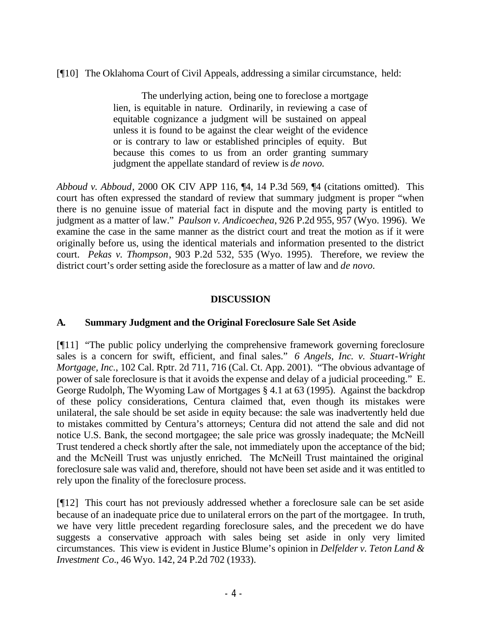[¶10] The Oklahoma Court of Civil Appeals, addressing a similar circumstance, held:

The underlying action, being one to foreclose a mortgage lien, is equitable in nature. Ordinarily, in reviewing a case of equitable cognizance a judgment will be sustained on appeal unless it is found to be against the clear weight of the evidence or is contrary to law or established principles of equity. But because this comes to us from an order granting summary judgment the appellate standard of review is *de novo.*

*Abboud v. Abboud*, 2000 OK CIV APP 116, ¶4, 14 P.3d 569, ¶4 (citations omitted). This court has often expressed the standard of review that summary judgment is proper "when there is no genuine issue of material fact in dispute and the moving party is entitled to judgment as a matter of law." *Paulson v. Andicoechea*, 926 P.2d 955, 957 (Wyo. 1996). We examine the case in the same manner as the district court and treat the motion as if it were originally before us, using the identical materials and information presented to the district court. *Pekas v. Thompson*, 903 P.2d 532, 535 (Wyo. 1995). Therefore, we review the district court's order setting aside the foreclosure as a matter of law and *de novo.*

# **DISCUSSION**

# **A. Summary Judgment and the Original Foreclosure Sale Set Aside**

[¶11] "The public policy underlying the comprehensive framework governing foreclosure sales is a concern for swift, efficient, and final sales." *6 Angels, Inc. v. Stuart-Wright Mortgage, Inc.*, 102 Cal. Rptr. 2d 711, 716 (Cal. Ct. App. 2001). "The obvious advantage of power of sale foreclosure is that it avoids the expense and delay of a judicial proceeding." E. George Rudolph, The Wyoming Law of Mortgages § 4.1 at 63 (1995). Against the backdrop of these policy considerations, Centura claimed that, even though its mistakes were unilateral, the sale should be set aside in equity because: the sale was inadvertently held due to mistakes committed by Centura's attorneys; Centura did not attend the sale and did not notice U.S. Bank, the second mortgagee; the sale price was grossly inadequate; the McNeill Trust tendered a check shortly after the sale, not immediately upon the acceptance of the bid; and the McNeill Trust was unjustly enriched. The McNeill Trust maintained the original foreclosure sale was valid and, therefore, should not have been set aside and it was entitled to rely upon the finality of the foreclosure process.

[¶12] This court has not previously addressed whether a foreclosure sale can be set aside because of an inadequate price due to unilateral errors on the part of the mortgagee. In truth, we have very little precedent regarding foreclosure sales, and the precedent we do have suggests a conservative approach with sales being set aside in only very limited circumstances. This view is evident in Justice Blume's opinion in *Delfelder v. Teton Land & Investment Co.*, 46 Wyo. 142, 24 P.2d 702 (1933).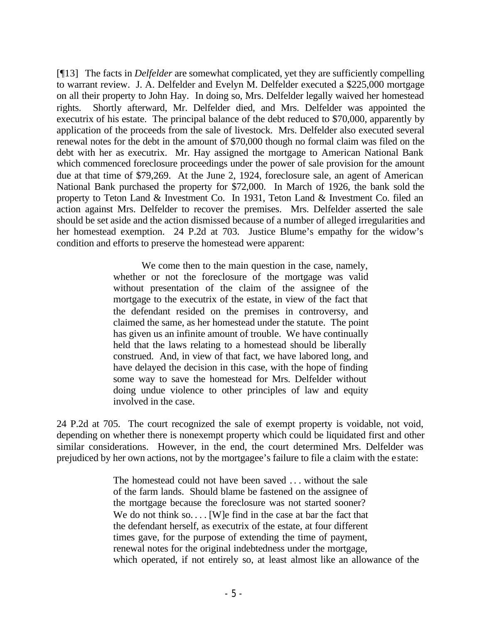[¶13] The facts in *Delfelder* are somewhat complicated, yet they are sufficiently compelling to warrant review. J. A. Delfelder and Evelyn M. Delfelder executed a \$225,000 mortgage on all their property to John Hay. In doing so, Mrs. Delfelder legally waived her homestead rights. Shortly afterward, Mr. Delfelder died, and Mrs. Delfelder was appointed the executrix of his estate. The principal balance of the debt reduced to \$70,000, apparently by application of the proceeds from the sale of livestock. Mrs. Delfelder also executed several renewal notes for the debt in the amount of \$70,000 though no formal claim was filed on the debt with her as executrix. Mr. Hay assigned the mortgage to American National Bank which commenced foreclosure proceedings under the power of sale provision for the amount due at that time of \$79,269. At the June 2, 1924, foreclosure sale, an agent of American National Bank purchased the property for \$72,000. In March of 1926, the bank sold the property to Teton Land & Investment Co. In 1931, Teton Land & Investment Co. filed an action against Mrs. Delfelder to recover the premises. Mrs. Delfelder asserted the sale should be set aside and the action dismissed because of a number of alleged irregularities and her homestead exemption. 24 P.2d at 703. Justice Blume's empathy for the widow's condition and efforts to preserve the homestead were apparent:

> We come then to the main question in the case, namely, whether or not the foreclosure of the mortgage was valid without presentation of the claim of the assignee of the mortgage to the executrix of the estate, in view of the fact that the defendant resided on the premises in controversy, and claimed the same, as her homestead under the statute. The point has given us an infinite amount of trouble. We have continually held that the laws relating to a homestead should be liberally construed. And, in view of that fact, we have labored long, and have delayed the decision in this case, with the hope of finding some way to save the homestead for Mrs. Delfelder without doing undue violence to other principles of law and equity involved in the case.

24 P.2d at 705. The court recognized the sale of exempt property is voidable, not void, depending on whether there is nonexempt property which could be liquidated first and other similar considerations. However, in the end, the court determined Mrs. Delfelder was prejudiced by her own actions, not by the mortgagee's failure to file a claim with the e state:

> The homestead could not have been saved . . . without the sale of the farm lands. Should blame be fastened on the assignee of the mortgage because the foreclosure was not started sooner? We do not think so.... [W]e find in the case at bar the fact that the defendant herself, as executrix of the estate, at four different times gave, for the purpose of extending the time of payment, renewal notes for the original indebtedness under the mortgage, which operated, if not entirely so, at least almost like an allowance of the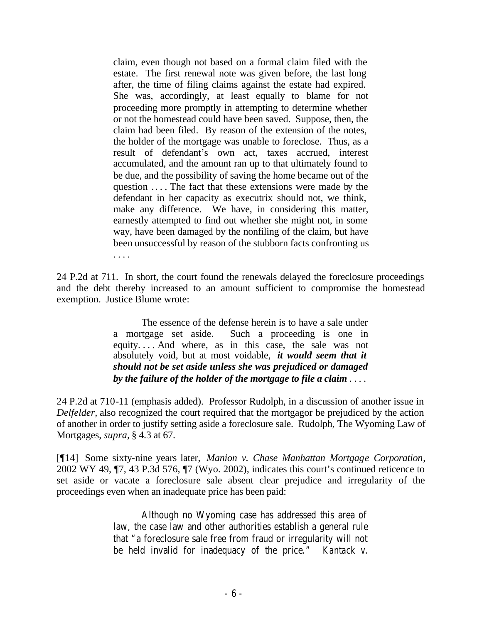claim, even though not based on a formal claim filed with the estate. The first renewal note was given before, the last long after, the time of filing claims against the estate had expired. She was, accordingly, at least equally to blame for not proceeding more promptly in attempting to determine whether or not the homestead could have been saved. Suppose, then, the claim had been filed. By reason of the extension of the notes, the holder of the mortgage was unable to foreclose. Thus, as a result of defendant's own act, taxes accrued, interest accumulated, and the amount ran up to that ultimately found to be due, and the possibility of saving the home became out of the question . . . . The fact that these extensions were made by the defendant in her capacity as executrix should not, we think, make any difference. We have, in considering this matter, earnestly attempted to find out whether she might not, in some way, have been damaged by the nonfiling of the claim, but have been unsuccessful by reason of the stubborn facts confronting us . . . .

24 P.2d at 711. In short, the court found the renewals delayed the foreclosure proceedings and the debt thereby increased to an amount sufficient to compromise the homestead exemption. Justice Blume wrote:

> The essence of the defense herein is to have a sale under a mortgage set aside. Such a proceeding is one in equity. . . . And where, as in this case, the sale was not absolutely void, but at most voidable, *it would seem that it should not be set aside unless she was prejudiced or damaged by the failure of the holder of the mortgage to file a claim* . . . .

24 P.2d at 710-11 (emphasis added). Professor Rudolph, in a discussion of another issue in *Delfelder,* also recognized the court required that the mortgagor be prejudiced by the action of another in order to justify setting aside a foreclosure sale. Rudolph, The Wyoming Law of Mortgages, *supra,* § 4.3 at 67.

[¶14] Some sixty-nine years later, *Manion v. Chase Manhattan Mortgage Corporation*, 2002 WY 49, ¶7, 43 P.3d 576, ¶7 (Wyo. 2002), indicates this court's continued reticence to set aside or vacate a foreclosure sale absent clear prejudice and irregularity of the proceedings even when an inadequate price has been paid:

> Although no Wyoming case has addressed this area of law, the case law and other authorities establish a general rule that "a foreclosure sale free from fraud or irregularity will not be held invalid for inadequacy of the price." *Kantack v.*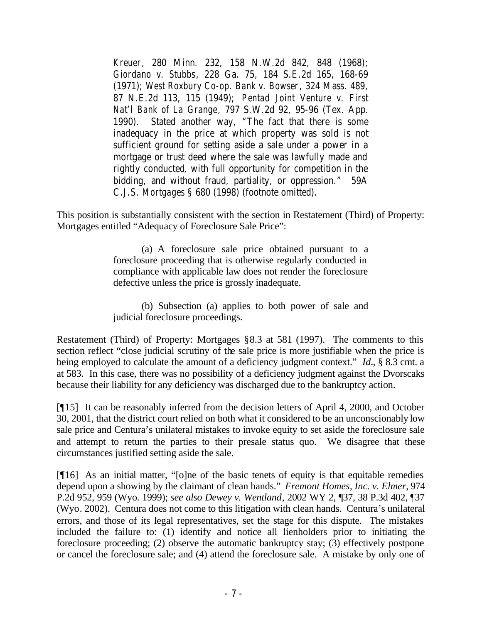*Kreuer*, 280 Minn. 232, 158 N.W.2d 842, 848 (1968); *Giordano v. Stubbs*, 228 Ga. 75, 184 S.E.2d 165, 168-69 (1971); *West Roxbury Co-op. Bank v. Bowser*, 324 Mass. 489, 87 N.E.2d 113, 115 (1949); *Pentad Joint Venture v. First Nat'l Bank of La Grange*, 797 S.W.2d 92, 95-96 (Tex. App. 1990). Stated another way, "The fact that there is some inadequacy in the price at which property was sold is not sufficient ground for setting aside a sale under a power in a mortgage or trust deed where the sale was lawfully made and rightly conducted, with full opportunity for competition in the bidding, and without fraud, partiality, or oppression." 59A C.J.S. *Mortgages* § 680 (1998) (footnote omitted).

This position is substantially consistent with the section in Restatement (Third) of Property: Mortgages entitled "Adequacy of Foreclosure Sale Price":

> (a) A foreclosure sale price obtained pursuant to a foreclosure proceeding that is otherwise regularly conducted in compliance with applicable law does not render the foreclosure defective unless the price is grossly inadequate.

> (b) Subsection (a) applies to both power of sale and judicial foreclosure proceedings.

Restatement (Third) of Property: Mortgages §8.3 at 581 (1997). The comments to this section reflect "close judicial scrutiny of the sale price is more justifiable when the price is being employed to calculate the amount of a deficiency judgment context." *Id.*, § 8.3 cmt. a at 583. In this case, there was no possibility of a deficiency judgment against the Dvorscaks because their liability for any deficiency was discharged due to the bankruptcy action.

[¶15] It can be reasonably inferred from the decision letters of April 4, 2000, and October 30, 2001, that the district court relied on both what it considered to be an unconscionably low sale price and Centura's unilateral mistakes to invoke equity to set aside the foreclosure sale and attempt to return the parties to their presale status quo. We disagree that these circumstances justified setting aside the sale.

[¶16] As an initial matter, "[o]ne of the basic tenets of equity is that equitable remedies depend upon a showing by the claimant of clean hands." *Fremont Homes, Inc. v. Elmer*, 974 P.2d 952, 959 (Wyo. 1999); *see also Dewey v. Wentland*, 2002 WY 2, ¶37, 38 P.3d 402, ¶37 (Wyo. 2002). Centura does not come to this litigation with clean hands. Centura's unilateral errors, and those of its legal representatives, set the stage for this dispute. The mistakes included the failure to: (1) identify and notice all lienholders prior to initiating the foreclosure proceeding; (2) observe the automatic bankruptcy stay; (3) effectively postpone or cancel the foreclosure sale; and (4) attend the foreclosure sale. A mistake by only one of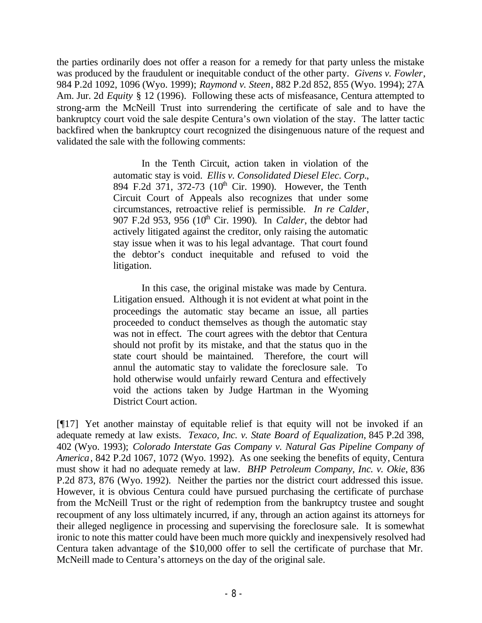the parties ordinarily does not offer a reason for a remedy for that party unless the mistake was produced by the fraudulent or inequitable conduct of the other party. *Givens v. Fowler*, 984 P.2d 1092, 1096 (Wyo. 1999); *Raymond v. Steen*, 882 P.2d 852, 855 (Wyo. 1994); 27A Am. Jur. 2d *Equity* § 12 (1996). Following these acts of misfeasance, Centura attempted to strong-arm the McNeill Trust into surrendering the certificate of sale and to have the bankruptcy court void the sale despite Centura's own violation of the stay. The latter tactic backfired when the bankruptcy court recognized the disingenuous nature of the request and validated the sale with the following comments:

> In the Tenth Circuit, action taken in violation of the automatic stay is void. *Ellis v. Consolidated Diesel Elec. Corp.*, 894 F.2d 371, 372-73 (10<sup>th</sup> Cir. 1990). However, the Tenth Circuit Court of Appeals also recognizes that under some circumstances, retroactive relief is permissible. *In re Calder*, 907 F.2d 953, 956 (10<sup>th</sup> Cir. 1990). In *Calder*, the debtor had actively litigated against the creditor, only raising the automatic stay issue when it was to his legal advantage. That court found the debtor's conduct inequitable and refused to void the litigation.

> In this case, the original mistake was made by Centura. Litigation ensued. Although it is not evident at what point in the proceedings the automatic stay became an issue, all parties proceeded to conduct themselves as though the automatic stay was not in effect. The court agrees with the debtor that Centura should not profit by its mistake, and that the status quo in the state court should be maintained. Therefore, the court will annul the automatic stay to validate the foreclosure sale. To hold otherwise would unfairly reward Centura and effectively void the actions taken by Judge Hartman in the Wyoming District Court action.

[¶17] Yet another mainstay of equitable relief is that equity will not be invoked if an adequate remedy at law exists. *Texaco, Inc. v. State Board of Equalization*, 845 P.2d 398, 402 (Wyo. 1993); *Colorado Interstate Gas Company v. Natural Gas Pipeline Company of America*, 842 P.2d 1067, 1072 (Wyo. 1992). As one seeking the benefits of equity, Centura must show it had no adequate remedy at law. *BHP Petroleum Company, Inc. v. Okie*, 836 P.2d 873, 876 (Wyo. 1992). Neither the parties nor the district court addressed this issue. However, it is obvious Centura could have pursued purchasing the certificate of purchase from the McNeill Trust or the right of redemption from the bankruptcy trustee and sought recoupment of any loss ultimately incurred, if any, through an action against its attorneys for their alleged negligence in processing and supervising the foreclosure sale. It is somewhat ironic to note this matter could have been much more quickly and inexpensively resolved had Centura taken advantage of the \$10,000 offer to sell the certificate of purchase that Mr. McNeill made to Centura's attorneys on the day of the original sale.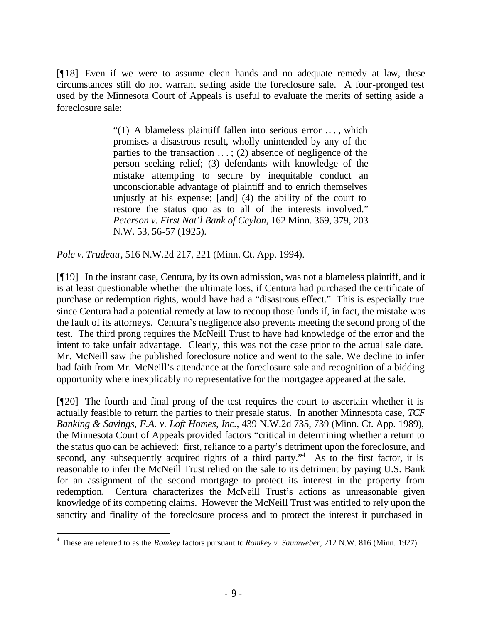[¶18] Even if we were to assume clean hands and no adequate remedy at law, these circumstances still do not warrant setting aside the foreclosure sale. A four-pronged test used by the Minnesota Court of Appeals is useful to evaluate the merits of setting aside a foreclosure sale:

> "(1) A blameless plaintiff fallen into serious error .. . , which promises a disastrous result, wholly unintended by any of the parties to the transaction  $\dots$ ; (2) absence of negligence of the person seeking relief; (3) defendants with knowledge of the mistake attempting to secure by inequitable conduct an unconscionable advantage of plaintiff and to enrich themselves unjustly at his expense; [and] (4) the ability of the court to restore the status quo as to all of the interests involved." *Peterson v. First Nat'l Bank of Ceylon*, 162 Minn. 369, 379, 203 N.W. 53, 56-57 (1925).

*Pole v. Trudeau*, 516 N.W.2d 217, 221 (Minn. Ct. App. 1994).

[¶19] In the instant case, Centura, by its own admission, was not a blameless plaintiff, and it is at least questionable whether the ultimate loss, if Centura had purchased the certificate of purchase or redemption rights, would have had a "disastrous effect." This is especially true since Centura had a potential remedy at law to recoup those funds if, in fact, the mistake was the fault of its attorneys. Centura's negligence also prevents meeting the second prong of the test. The third prong requires the McNeill Trust to have had knowledge of the error and the intent to take unfair advantage. Clearly, this was not the case prior to the actual sale date. Mr. McNeill saw the published foreclosure notice and went to the sale. We decline to infer bad faith from Mr. McNeill's attendance at the foreclosure sale and recognition of a bidding opportunity where inexplicably no representative for the mortgagee appeared at the sale.

[¶20] The fourth and final prong of the test requires the court to ascertain whether it is actually feasible to return the parties to their presale status. In another Minnesota case, *TCF Banking & Savings, F.A. v. Loft Homes, Inc.*, 439 N.W.2d 735, 739 (Minn. Ct. App. 1989), the Minnesota Court of Appeals provided factors "critical in determining whether a return to the status quo can be achieved: first, reliance to a party's detriment upon the foreclosure, and second, any subsequently acquired rights of a third party."<sup>4</sup> As to the first factor, it is reasonable to infer the McNeill Trust relied on the sale to its detriment by paying U.S. Bank for an assignment of the second mortgage to protect its interest in the property from redemption. Centura characterizes the McNeill Trust's actions as unreasonable given knowledge of its competing claims. However the McNeill Trust was entitled to rely upon the sanctity and finality of the foreclosure process and to protect the interest it purchased in

<sup>4</sup> These are referred to as the *Romkey* factors pursuant to *Romkey v. Saumweber*, 212 N.W. 816 (Minn. 1927).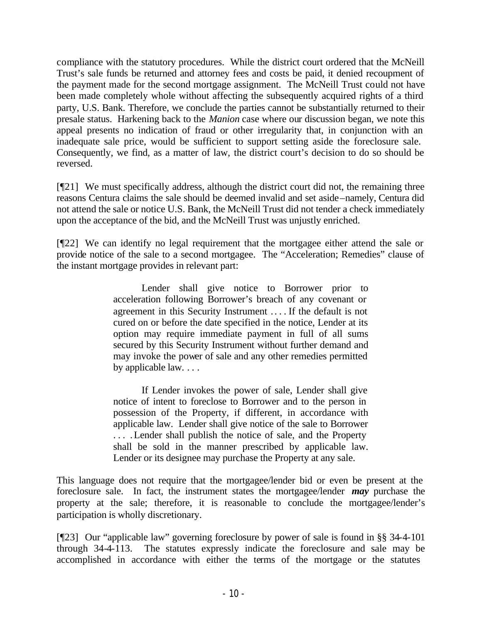compliance with the statutory procedures. While the district court ordered that the McNeill Trust's sale funds be returned and attorney fees and costs be paid, it denied recoupment of the payment made for the second mortgage assignment. The McNeill Trust could not have been made completely whole without affecting the subsequently acquired rights of a third party, U.S. Bank. Therefore, we conclude the parties cannot be substantially returned to their presale status. Harkening back to the *Manion* case where our discussion began, we note this appeal presents no indication of fraud or other irregularity that, in conjunction with an inadequate sale price, would be sufficient to support setting aside the foreclosure sale. Consequently, we find, as a matter of law, the district court's decision to do so should be reversed.

[¶21] We must specifically address, although the district court did not, the remaining three reasons Centura claims the sale should be deemed invalid and set aside–namely, Centura did not attend the sale or notice U.S. Bank, the McNeill Trust did not tender a check immediately upon the acceptance of the bid, and the McNeill Trust was unjustly enriched.

[¶22] We can identify no legal requirement that the mortgagee either attend the sale or provide notice of the sale to a second mortgagee. The "Acceleration; Remedies" clause of the instant mortgage provides in relevant part:

> Lender shall give notice to Borrower prior to acceleration following Borrower's breach of any covenant or agreement in this Security Instrument .. . . If the default is not cured on or before the date specified in the notice, Lender at its option may require immediate payment in full of all sums secured by this Security Instrument without further demand and may invoke the power of sale and any other remedies permitted by applicable law. . . .

> If Lender invokes the power of sale, Lender shall give notice of intent to foreclose to Borrower and to the person in possession of the Property, if different, in accordance with applicable law. Lender shall give notice of the sale to Borrower . . . .Lender shall publish the notice of sale, and the Property shall be sold in the manner prescribed by applicable law. Lender or its designee may purchase the Property at any sale.

This language does not require that the mortgagee/lender bid or even be present at the foreclosure sale. In fact, the instrument states the mortgagee/lender *may* purchase the property at the sale; therefore, it is reasonable to conclude the mortgagee/lender's participation is wholly discretionary.

[¶23] Our "applicable law" governing foreclosure by power of sale is found in §§ 34-4-101 through 34-4-113. The statutes expressly indicate the foreclosure and sale may be accomplished in accordance with either the terms of the mortgage or the statutes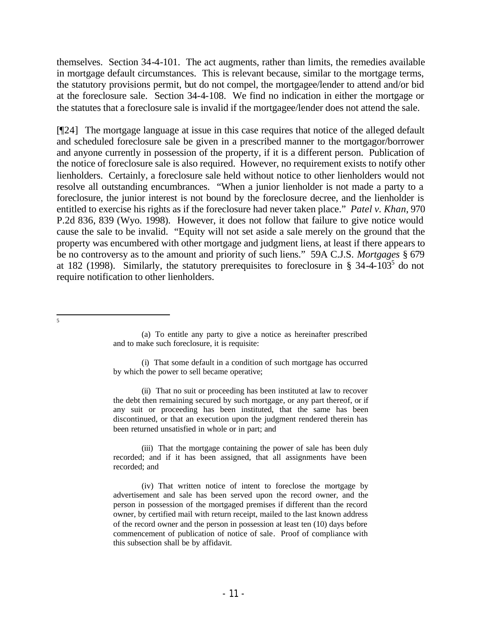themselves. Section 34-4-101. The act augments, rather than limits, the remedies available in mortgage default circumstances. This is relevant because, similar to the mortgage terms, the statutory provisions permit, but do not compel, the mortgagee/lender to attend and/or bid at the foreclosure sale. Section 34-4-108. We find no indication in either the mortgage or the statutes that a foreclosure sale is invalid if the mortgagee/lender does not attend the sale.

[¶24] The mortgage language at issue in this case requires that notice of the alleged default and scheduled foreclosure sale be given in a prescribed manner to the mortgagor/borrower and anyone currently in possession of the property, if it is a different person. Publication of the notice of foreclosure sale is also required. However, no requirement exists to notify other lienholders. Certainly, a foreclosure sale held without notice to other lienholders would not resolve all outstanding encumbrances. "When a junior lienholder is not made a party to a foreclosure, the junior interest is not bound by the foreclosure decree, and the lienholder is entitled to exercise his rights as if the foreclosure had never taken place." *Patel v. Khan*, 970 P.2d 836, 839 (Wyo. 1998). However, it does not follow that failure to give notice would cause the sale to be invalid. "Equity will not set aside a sale merely on the ground that the property was encumbered with other mortgage and judgment liens, at least if there appears to be no controversy as to the amount and priority of such liens." 59A C.J.S. *Mortgages* § 679 at 182 (1998). Similarly, the statutory prerequisites to foreclosure in § 34-4-10 $3<sup>5</sup>$  do not require notification to other lienholders.

(i) That some default in a condition of such mortgage has occurred by which the power to sell became operative;

(ii) That no suit or proceeding has been instituted at law to recover the debt then remaining secured by such mortgage, or any part thereof, or if any suit or proceeding has been instituted, that the same has been discontinued, or that an execution upon the judgment rendered therein has been returned unsatisfied in whole or in part; and

(iii) That the mortgage containing the power of sale has been duly recorded; and if it has been assigned, that all assignments have been recorded; and

(iv) That written notice of intent to foreclose the mortgage by advertisement and sale has been served upon the record owner, and the person in possession of the mortgaged premises if different than the record owner, by certified mail with return receipt, mailed to the last known address of the record owner and the person in possession at least ten (10) days before commencement of publication of notice of sale. Proof of compliance with this subsection shall be by affidavit.

 $\frac{1}{5}$ 

<sup>(</sup>a) To entitle any party to give a notice as hereinafter prescribed and to make such foreclosure, it is requisite: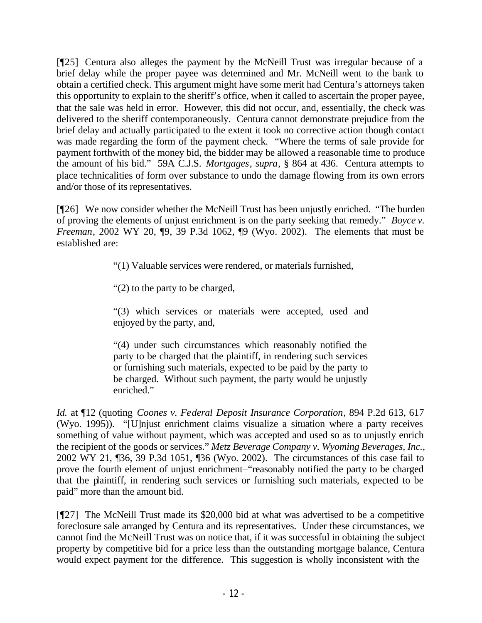[¶25] Centura also alleges the payment by the McNeill Trust was irregular because of a brief delay while the proper payee was determined and Mr. McNeill went to the bank to obtain a certified check. This argument might have some merit had Centura's attorneys taken this opportunity to explain to the sheriff's office, when it called to ascertain the proper payee, that the sale was held in error. However, this did not occur, and, essentially, the check was delivered to the sheriff contemporaneously. Centura cannot demonstrate prejudice from the brief delay and actually participated to the extent it took no corrective action though contact was made regarding the form of the payment check. "Where the terms of sale provide for payment forthwith of the money bid, the bidder may be allowed a reasonable time to produce the amount of his bid." 59A C.J.S. *Mortgages*, *supra*, § 864 at 436. Centura attempts to place technicalities of form over substance to undo the damage flowing from its own errors and/or those of its representatives.

[¶26] We now consider whether the McNeill Trust has been unjustly enriched. "The burden of proving the elements of unjust enrichment is on the party seeking that remedy." *Boyce v. Freeman*, 2002 WY 20, 19, 39 P.3d 1062, 19 (Wyo. 2002). The elements that must be established are:

"(1) Valuable services were rendered, or materials furnished,

"(2) to the party to be charged,

"(3) which services or materials were accepted, used and enjoyed by the party, and,

"(4) under such circumstances which reasonably notified the party to be charged that the plaintiff, in rendering such services or furnishing such materials, expected to be paid by the party to be charged. Without such payment, the party would be unjustly enriched."

*Id.* at ¶12 (quoting *Coones v. Federal Deposit Insurance Corporation*, 894 P.2d 613, 617 (Wyo. 1995)). "[U]njust enrichment claims visualize a situation where a party receives something of value without payment, which was accepted and used so as to unjustly enrich the recipient of the goods or services." *Metz Beverage Company v. Wyoming Beverages, Inc.*, 2002 WY 21, ¶36, 39 P.3d 1051, ¶36 (Wyo. 2002). The circumstances of this case fail to prove the fourth element of unjust enrichment–"reasonably notified the party to be charged that the plaintiff, in rendering such services or furnishing such materials, expected to be paid" more than the amount bid.

[¶27] The McNeill Trust made its \$20,000 bid at what was advertised to be a competitive foreclosure sale arranged by Centura and its representatives. Under these circumstances, we cannot find the McNeill Trust was on notice that, if it was successful in obtaining the subject property by competitive bid for a price less than the outstanding mortgage balance, Centura would expect payment for the difference. This suggestion is wholly inconsistent with the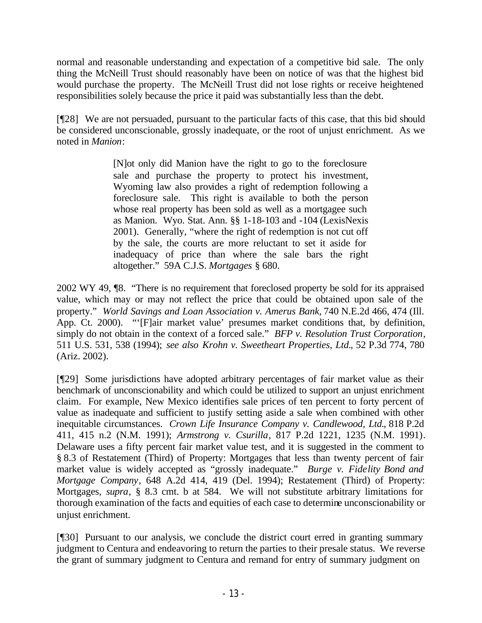normal and reasonable understanding and expectation of a competitive bid sale. The only thing the McNeill Trust should reasonably have been on notice of was that the highest bid would purchase the property. The McNeill Trust did not lose rights or receive heightened responsibilities solely because the price it paid was substantially less than the debt.

[¶28] We are not persuaded, pursuant to the particular facts of this case, that this bid should be considered unconscionable, grossly inadequate, or the root of unjust enrichment. As we noted in *Manion*:

> [N]ot only did Manion have the right to go to the foreclosure sale and purchase the property to protect his investment, Wyoming law also provides a right of redemption following a foreclosure sale. This right is available to both the person whose real property has been sold as well as a mortgagee such as Manion. Wyo. Stat. Ann. §§ 1-18-103 and -104 (LexisNexis 2001). Generally, "where the right of redemption is not cut off by the sale, the courts are more reluctant to set it aside for inadequacy of price than where the sale bars the right altogether." 59A C.J.S. *Mortgages* § 680.

2002 WY 49, ¶8. "There is no requirement that foreclosed property be sold for its appraised value, which may or may not reflect the price that could be obtained upon sale of the property." *World Savings and Loan Association v. Amerus Bank,* 740 N.E.2d 466, 474 (Ill. App. Ct. 2000). "'[F]air market value' presumes market conditions that, by definition, simply do not obtain in the context of a forced sale." *BFP v. Resolution Trust Corporation*, 511 U.S. 531, 538 (1994); *see also Krohn v. Sweetheart Properties, Ltd.*, 52 P.3d 774, 780 (Ariz. 2002).

[¶29] Some jurisdictions have adopted arbitrary percentages of fair market value as their benchmark of unconscionability and which could be utilized to support an unjust enrichment claim. For example, New Mexico identifies sale prices of ten percent to forty percent of value as inadequate and sufficient to justify setting aside a sale when combined with other inequitable circumstances. *Crown Life Insurance Company v. Candlewood, Ltd.*, 818 P.2d 411, 415 n.2 (N.M. 1991); *Armstrong v. Csurilla*, 817 P.2d 1221, 1235 (N.M. 1991). Delaware uses a fifty percent fair market value test, and it is suggested in the comment to § 8.3 of Restatement (Third) of Property: Mortgages that less than twenty percent of fair market value is widely accepted as "grossly inadequate." *Burge v. Fidelity Bond and Mortgage Company*, 648 A.2d 414, 419 (Del. 1994); Restatement (Third) of Property: Mortgages, *supra*, § 8.3 cmt. b at 584. We will not substitute arbitrary limitations for thorough examination of the facts and equities of each case to determine unconscionability or unjust enrichment.

[¶30] Pursuant to our analysis, we conclude the district court erred in granting summary judgment to Centura and endeavoring to return the parties to their presale status. We reverse the grant of summary judgment to Centura and remand for entry of summary judgment on